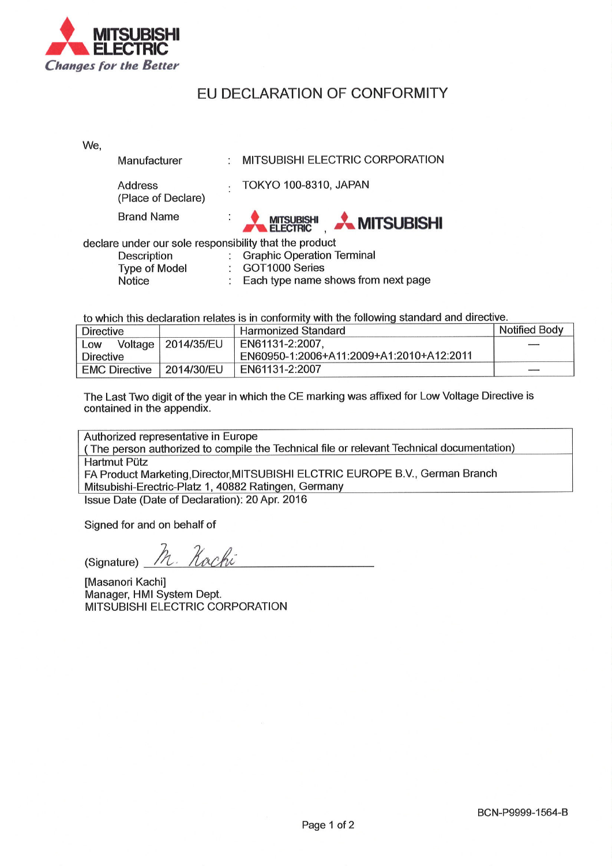

## EU DECLARATION OF CONFORMITY

| We,                                                    |                                      |    |                                     |  |  |  |  |
|--------------------------------------------------------|--------------------------------------|----|-------------------------------------|--|--|--|--|
|                                                        | Manufacturer                         | ÷. | MITSUBISHI ELECTRIC CORPORATION     |  |  |  |  |
|                                                        | <b>Address</b><br>(Place of Declare) |    | TOKYO 100-8310, JAPAN               |  |  |  |  |
|                                                        | <b>Brand Name</b>                    |    | <b>A MITSUBISHI</b> A MITSUBISHI    |  |  |  |  |
| declare under our sole responsibility that the product |                                      |    |                                     |  |  |  |  |
|                                                        | Description                          |    | <b>Graphic Operation Terminal</b>   |  |  |  |  |
| <b>Type of Model</b>                                   |                                      |    | GOT1000 Series                      |  |  |  |  |
|                                                        | Notice                               |    | Each type name shows from next page |  |  |  |  |

to which this declaration relates is in conformity with the following standard and directive.

| Directive            |                      | <b>Harmonized Standard</b>               | Notified Body |
|----------------------|----------------------|------------------------------------------|---------------|
| Low                  | Voltage   2014/35/EU | EN61131-2:2007.                          |               |
| Directive            |                      | EN60950-1:2006+A11:2009+A1:2010+A12:2011 |               |
| <b>EMC Directive</b> | 2014/30/EU           | EN61131-2:2007                           |               |

The Last Two digit of the year in which the CE marking was affixed for Low Voltage Directive is contained in the appendix.

Authorized representative in Europe (The person authorized to compile the Technical file or relevant Technical documentation) **Hartmut Pütz** FA Product Marketing, Director, MITSUBISHI ELCTRIC EUROPE B.V., German Branch Mitsubishi-Erectric-Platz 1, 40882 Ratingen, Germany Issue Date (Date of Declaration): 20 Apr. 2016

Signed for and on behalf of

Kachi (Signature)

[Masanori Kachi] Manager, HMI System Dept. MITSUBISHI ELECTRIC CORPORATION